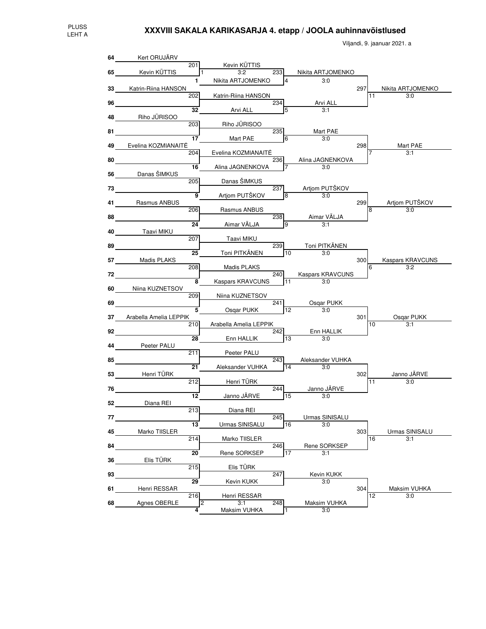Viljandi, 9. jaanuar 2021. a

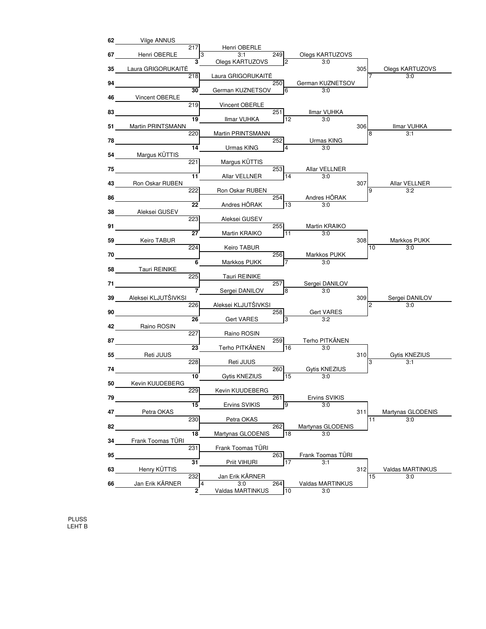

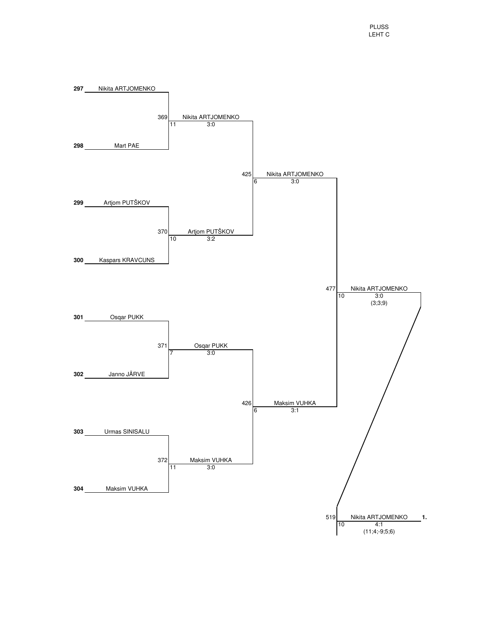